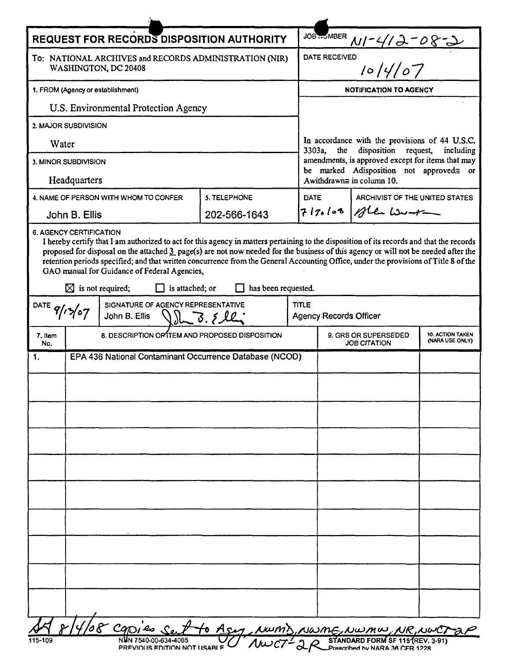| <b>REQUEST FOR RECORDS DISPOSITION AUTHORITY</b>                                          |                                                         |                                                                                                                                                                                                                                                                                                                                                                                                                                                                         |                     |              |                                                                                                                                                                                                                                            |                       |  |  |
|-------------------------------------------------------------------------------------------|---------------------------------------------------------|-------------------------------------------------------------------------------------------------------------------------------------------------------------------------------------------------------------------------------------------------------------------------------------------------------------------------------------------------------------------------------------------------------------------------------------------------------------------------|---------------------|--------------|--------------------------------------------------------------------------------------------------------------------------------------------------------------------------------------------------------------------------------------------|-----------------------|--|--|
| To: NATIONAL ARCHIVES and RECORDS ADMINISTRATION (NIR)<br>WASHINGTON, DC 20408            |                                                         |                                                                                                                                                                                                                                                                                                                                                                                                                                                                         |                     |              | JOB NUMBER $M$ / - 4/2 - 08 - 2<br>DATE RECEIVED<br>10/4/07                                                                                                                                                                                |                       |  |  |
| 1. FROM (Agency or establishment)                                                         |                                                         |                                                                                                                                                                                                                                                                                                                                                                                                                                                                         |                     |              | <b>NOTIFICATION TO AGENCY</b>                                                                                                                                                                                                              |                       |  |  |
| U.S. Environmental Protection Agency                                                      |                                                         |                                                                                                                                                                                                                                                                                                                                                                                                                                                                         |                     |              |                                                                                                                                                                                                                                            |                       |  |  |
| 2. MAJOR SUBDIVISION                                                                      |                                                         |                                                                                                                                                                                                                                                                                                                                                                                                                                                                         |                     |              |                                                                                                                                                                                                                                            |                       |  |  |
| Water                                                                                     |                                                         |                                                                                                                                                                                                                                                                                                                                                                                                                                                                         |                     |              | In accordance with the provisions of 44 U.S.C.<br>disposition request,<br>3303a,<br>the<br>including<br>amendments, is approved except for items that may<br>be marked Adisposition not approved≅ or<br>A withdrawn $\equiv$ in column 10. |                       |  |  |
| 3. MINOR SUBDIVISION                                                                      |                                                         |                                                                                                                                                                                                                                                                                                                                                                                                                                                                         |                     |              |                                                                                                                                                                                                                                            |                       |  |  |
| Headquarters                                                                              |                                                         |                                                                                                                                                                                                                                                                                                                                                                                                                                                                         |                     |              |                                                                                                                                                                                                                                            |                       |  |  |
|                                                                                           |                                                         | 4. NAME OF PERSON WITH WHOM TO CONFER                                                                                                                                                                                                                                                                                                                                                                                                                                   | 5. TELEPHONE        |              | <b>DATE</b><br>ARCHIVIST OF THE UNITED STATES                                                                                                                                                                                              |                       |  |  |
| John B. Ellis                                                                             |                                                         |                                                                                                                                                                                                                                                                                                                                                                                                                                                                         | 202-566-1643        |              |                                                                                                                                                                                                                                            | $7170108$ of the Work |  |  |
|                                                                                           | <b>6. AGENCY CERTIFICATION</b>                          | I hereby certify that I am authorized to act for this agency in matters pertaining to the disposition of its records and that the records<br>proposed for disposal on the attached 3 page(s) are not now needed for the business of this agency or will not be needed after the<br>retention periods specified; and that written concurrence from the General Accounting Office, under the provisions of Title 8 of the<br>GAO manual for Guidance of Federal Agencies, |                     |              |                                                                                                                                                                                                                                            |                       |  |  |
|                                                                                           |                                                         | $\boxtimes$ is not required;<br>$\Box$ is attached; or                                                                                                                                                                                                                                                                                                                                                                                                                  | has been requested. |              |                                                                                                                                                                                                                                            |                       |  |  |
| SIGNATURE OF AGENCY REPRESENTATIVE<br>DATE $9/13/07$<br>$Q_{2}L - 3.824$<br>John B. Ellis |                                                         |                                                                                                                                                                                                                                                                                                                                                                                                                                                                         |                     | <b>TITLE</b> | <b>Agency Records Officer</b>                                                                                                                                                                                                              |                       |  |  |
| 7. Item<br>No.                                                                            |                                                         | 8. DESCRIPTION OF TEM AND PROPOSED DISPOSITION                                                                                                                                                                                                                                                                                                                                                                                                                          |                     |              | <b>10. ACTION TAKEN</b><br>9. GRS OR SUPERSEDED<br>(NARA USE ONLY)<br><b>JOB CITATION</b>                                                                                                                                                  |                       |  |  |
| 1.                                                                                        | EPA 436 National Contaminant Occurrence Database (NCOD) |                                                                                                                                                                                                                                                                                                                                                                                                                                                                         |                     |              |                                                                                                                                                                                                                                            |                       |  |  |
|                                                                                           |                                                         |                                                                                                                                                                                                                                                                                                                                                                                                                                                                         |                     |              |                                                                                                                                                                                                                                            |                       |  |  |
|                                                                                           |                                                         |                                                                                                                                                                                                                                                                                                                                                                                                                                                                         |                     |              |                                                                                                                                                                                                                                            |                       |  |  |
|                                                                                           |                                                         |                                                                                                                                                                                                                                                                                                                                                                                                                                                                         |                     |              |                                                                                                                                                                                                                                            |                       |  |  |
|                                                                                           |                                                         |                                                                                                                                                                                                                                                                                                                                                                                                                                                                         |                     |              |                                                                                                                                                                                                                                            |                       |  |  |
|                                                                                           |                                                         |                                                                                                                                                                                                                                                                                                                                                                                                                                                                         |                     |              |                                                                                                                                                                                                                                            |                       |  |  |
|                                                                                           |                                                         |                                                                                                                                                                                                                                                                                                                                                                                                                                                                         |                     |              |                                                                                                                                                                                                                                            |                       |  |  |
|                                                                                           |                                                         |                                                                                                                                                                                                                                                                                                                                                                                                                                                                         |                     |              |                                                                                                                                                                                                                                            |                       |  |  |
|                                                                                           |                                                         |                                                                                                                                                                                                                                                                                                                                                                                                                                                                         |                     |              |                                                                                                                                                                                                                                            |                       |  |  |
|                                                                                           |                                                         |                                                                                                                                                                                                                                                                                                                                                                                                                                                                         |                     |              |                                                                                                                                                                                                                                            |                       |  |  |
|                                                                                           |                                                         |                                                                                                                                                                                                                                                                                                                                                                                                                                                                         |                     |              |                                                                                                                                                                                                                                            |                       |  |  |
|                                                                                           |                                                         |                                                                                                                                                                                                                                                                                                                                                                                                                                                                         |                     |              |                                                                                                                                                                                                                                            |                       |  |  |
|                                                                                           |                                                         |                                                                                                                                                                                                                                                                                                                                                                                                                                                                         |                     |              |                                                                                                                                                                                                                                            |                       |  |  |
|                                                                                           |                                                         |                                                                                                                                                                                                                                                                                                                                                                                                                                                                         |                     |              |                                                                                                                                                                                                                                            |                       |  |  |
|                                                                                           |                                                         |                                                                                                                                                                                                                                                                                                                                                                                                                                                                         |                     |              |                                                                                                                                                                                                                                            |                       |  |  |
|                                                                                           |                                                         | 109 8 COPIEs Set to Asy, NWMS, NWME, NWMW, NR, NWCT 2P                                                                                                                                                                                                                                                                                                                                                                                                                  |                     |              |                                                                                                                                                                                                                                            |                       |  |  |
|                                                                                           |                                                         |                                                                                                                                                                                                                                                                                                                                                                                                                                                                         |                     |              |                                                                                                                                                                                                                                            |                       |  |  |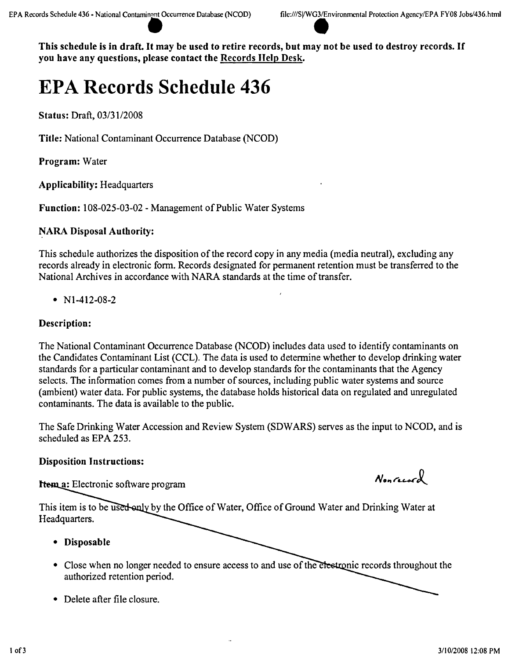This schedule is in draft. It may be used to retire records, but may not be used to destroy records. If you have any questions, please contact the Records Help Desk.

# **EPA Records Schedule 436**

Status: Draft, *0313112008*

Title: National Contaminant Occurrence Database (NCOD)

Program: Water

Applicability: Headquarters

Function: 108-025-03-02 - Management of Public Water Systems

# NARA Disposal Authority:

This schedule authorizes the disposition of the record copy in any media (media neutral), excluding any records already in electronic form. Records designated for permanent retention must be transferred to the National Archives in accordance with NARA standards at the time of transfer.

•  $N1-412-08-2$ 

## Description:

The National Contaminant Occurrence Database (NCOD) includes data used to identify contaminants on the Candidates Contaminant List (CCL). The data is used to determine whether to develop drinking water standards for a particular contaminant and to develop standards for the contaminants that the Agency selects. The information comes from a number of sources, including public water systems and source (ambient) water data. For public systems, the database holds historical data on regulated and unregulated contaminants. The data is available to the public.

The Safe Drinking Water Accession and Review System (SDWARS) serves as the input to NCOD, and is scheduled as EPA 253.

## Disposition Instructions:

**Item a:** Electronic software program

Nonrecord

This item is to be used only by the Office of Water, Office of Ground Water and Drinking Water at Headquarters.

- • Disposable
- Close when no longer needed to ensure access to and use of the en authorized retention period.
- Delete after file closure.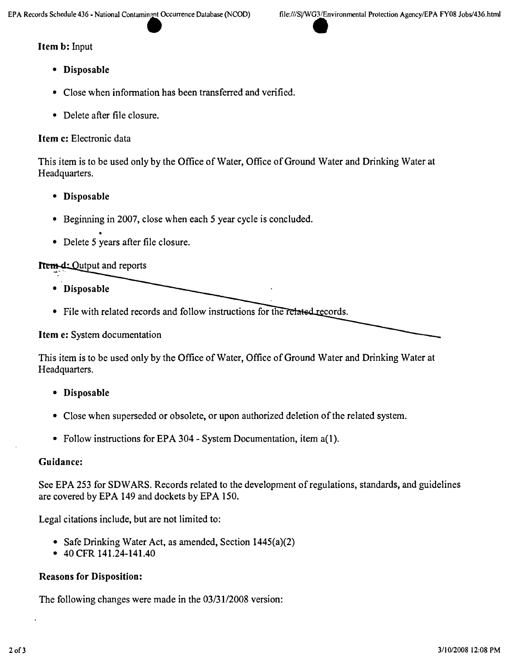#### Item b: Input

- Disposable
- Close when information has been transferred and verified.
- Delete after file closure.

## Item c: Electronic data

This item is to be used only by the Office of Water, Office of Ground Water and Drinking Water at Headquarters.

- Disposable
- Beginning in 2007, close when each 5 year cycle is concluded.
- Delete 5 years after file closure.

# **Item-d:** Output and reports

- Disposable
- File with related records and follow instructions for the related records.

Item e: System documentation

This item is to be used only by the Office of Water, Office of Ground Water and Drinking Water at Headquarters.

- Disposable
- Close when superseded or obsolete, or upon authorized deletion of the related system.
- Follow instructions for EPA 304 System Documentation, item a(1).

## Guidance:

See EPA 253 for SDW ARS. Records related to the development of regulations, standards, and guidelines are covered by EPA 149 and dockets by EPA 150.

Legal citations include, but are not limited to:

- Safe Drinking Water Act, as amended, Section 1445(a)(2)
- 40 CFR 141.24-141.40

## Reasons for Disposition:

The following changes were made in the *03/3112008* version: